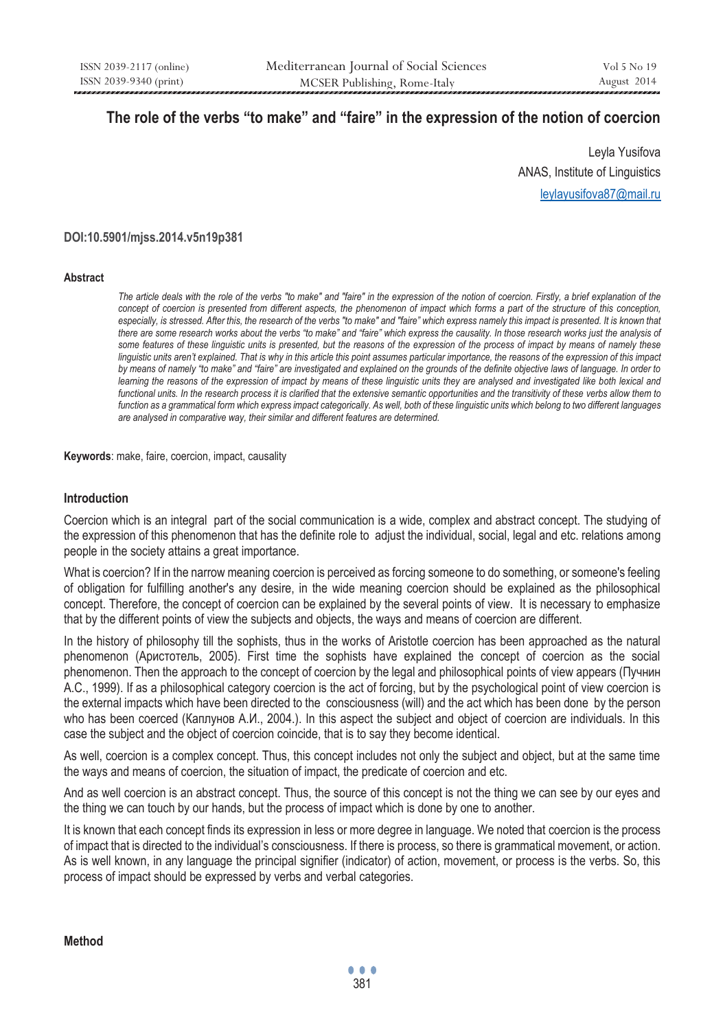# **The role of the verbs "to make" and "faire" in the expression of the notion of coercion**

Leyla Yusifova ANAS, Institute of Linguistics leylayusifova87@mail.ru

#### **DOI:10.5901/mjss.2014.v5n19p381**

#### **Abstract**

*The article deals with the role of the verbs "to make" and "faire" in the expression of the notion of coercion. Firstly, a brief explanation of the concept of coercion is presented from different aspects, the phenomenon of impact which forms a part of the structure of this conception,*  especially, is stressed. After this, the research of the verbs "to make" and "faire" which express namely this impact is presented. It is known that *there are some research works about the verbs "to make" and "faire" which express the causality. In those research works just the analysis of some features of these linguistic units is presented, but the reasons of the expression of the process of impact by means of namely these*  linguistic units aren't explained. That is why in this article this point assumes particular importance, the reasons of the expression of this impact *by means of namely "to make" and "faire" are investigated and explained on the grounds of the definite objective laws of language. In order to*  learning the reasons of the expression of impact by means of these linguistic units they are analysed and investigated like both lexical and *functional units. In the research process it is clarified that the extensive semantic opportunities and the transitivity of these verbs allow them to function as a grammatical form which express impact categorically. As well, both of these linguistic units which belong to two different languages are analysed in comparative way, their similar and different features are determined.* 

**Keywords**: make, faire, coercion, impact, causality

#### **Introduction**

Coercion which is an integral part of the social communication is a wide, complex and abstract concept. The studying of the expression of this phenomenon that has the definite role to adjust the individual, social, legal and etc. relations among people in the society attains a great importance.

What is coercion? If in the narrow meaning coercion is perceived as forcing someone to do something, or someone's feeling of obligation for fulfilling another's any desire, in the wide meaning coercion should be explained as the philosophical concept. Therefore, the concept of coercion can be explained by the several points of view. It is necessary to emphasize that by the different points of view the subjects and objects, the ways and means of coercion are different.

In the history of philosophy till the sophists, thus in the works of Aristotle coercion has been approached as the natural phenomenon (Аристотель, 2005). First time the sophists have explained the concept of coercion as the social phenomenon. Then the approach to the concept of coercion by the legal and philosophical points of view appears (Пучнин А.С., 1999). If as a philosophical category coercion is the act of forcing, but by the psychological point of view coercion is the external impacts which have been directed to the consciousness (will) and the act which has been done by the person who has been coerced (Каплунов А.И., 2004.). In this aspect the subject and object of coercion are individuals. In this case the subject and the object of coercion coincide, that is to say they become identical.

As well, coercion is a complex concept. Thus, this concept includes not only the subject and object, but at the same time the ways and means of coercion, the situation of impact, the predicate of coercion and etc.

And as well coercion is an abstract concept. Thus, the source of this concept is not the thing we can see by our eyes and the thing we can touch by our hands, but the process of impact which is done by one to another.

It is known that each concept finds its expression in less or more degree in language. We noted that coercion is the process of impact that is directed to the individual's consciousness. If there is process, so there is grammatical movement, or action. As is well known, in any language the principal signifier (indicator) of action, movement, or process is the verbs. So, this process of impact should be expressed by verbs and verbal categories.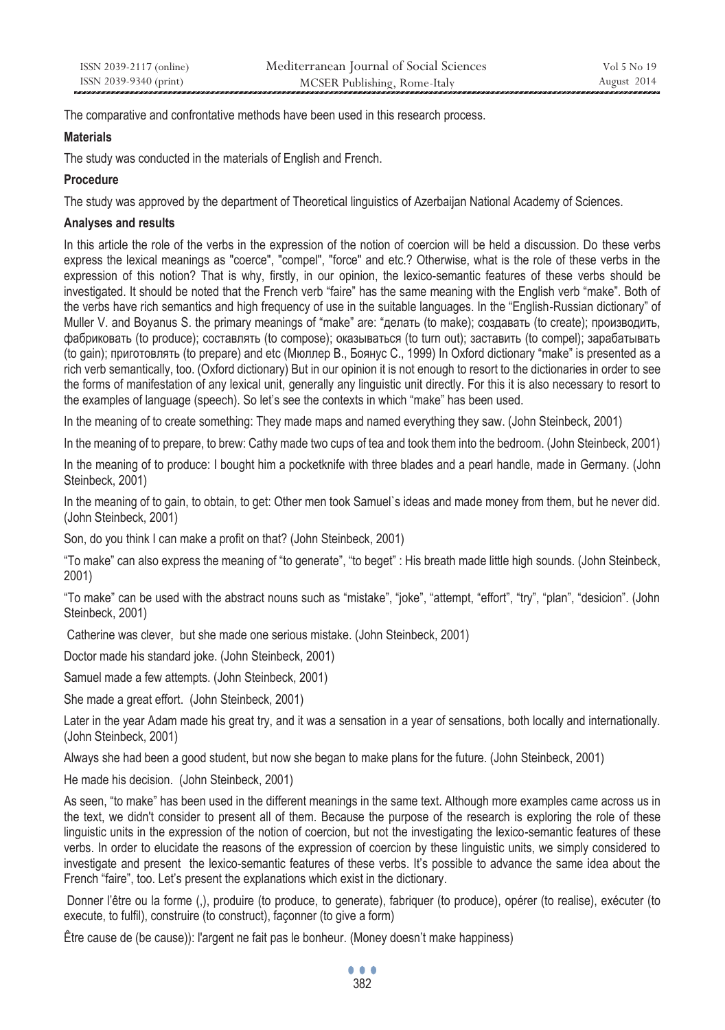The comparative and confrontative methods have been used in this research process.

## **Materials**

The study was conducted in the materials of English and French.

# **Procedure**

The study was approved by the department of Theoretical linguistics of Azerbaijan National Academy of Sciences.

## **Analyses and results**

In this article the role of the verbs in the expression of the notion of coercion will be held a discussion. Do these verbs express the lexical meanings as "coerce", "compel", "force" and etc.? Otherwise, what is the role of these verbs in the expression of this notion? That is why, firstly, in our opinion, the lexico-semantic features of these verbs should be investigated. It should be noted that the French verb "faire" has the same meaning with the English verb "make". Both of the verbs have rich semantics and high frequency of use in the suitable languages. In the "English-Russian dictionary" of Muller V. and Boyanus S. the primary meanings of "make" are: "делать (to make); создавать (to create); производить, фабриковать (to produce); составлять (to compose); оказываться (to turn out); заставить (to compel); зарабатывать (to gain); приготовлять (to prepare) and etc (Мюллер В., Боянус С., 1999) In Oxford dictionary "make" is presented as a rich verb semantically, too. (Oxford dictionary) But in our opinion it is not enough to resort to the dictionaries in order to see the forms of manifestation of any lexical unit, generally any linguistic unit directly. For this it is also necessary to resort to the examples of language (speech). So let's see the contexts in which "make" has been used.

In the meaning of to create something: They made maps and named everything they saw. (John Steinbeck, 2001)

In the meaning of to prepare, to brew: Cathy made two cups of tea and took them into the bedroom. (John Steinbeck, 2001)

In the meaning of to produce: I bought him a pocketknife with three blades and a pearl handle, made in Germany. (John Steinbeck, 2001)

In the meaning of to gain, to obtain, to get: Other men took Samuel`s ideas and made money from them, but he never did. (John Steinbeck, 2001)

Son, do you think I can make a profit on that? (John Steinbeck, 2001)

"To make" can also express the meaning of "to generate", "to beget" : His breath made little high sounds. (John Steinbeck, 2001)

"To make" can be used with the abstract nouns such as "mistake", "joke", "attempt, "effort", "try", "plan", "desicion". (John Steinbeck, 2001)

Catherine was clever, but she made one serious mistake. (John Steinbeck, 2001)

Doctor made his standard joke. (John Steinbeck, 2001)

Samuel made a few attempts. (John Steinbeck, 2001)

She made a great effort. (John Steinbeck, 2001)

Later in the year Adam made his great try, and it was a sensation in a year of sensations, both locally and internationally. (John Steinbeck, 2001)

Always she had been a good student, but now she began to make plans for the future. (John Steinbeck, 2001)

He made his decision. (John Steinbeck, 2001)

As seen, "to make" has been used in the different meanings in the same text. Although more examples came across us in the text, we didn't consider to present all of them. Because the purpose of the research is exploring the role of these linguistic units in the expression of the notion of coercion, but not the investigating the lexico-semantic features of these verbs. In order to elucidate the reasons of the expression of coercion by these linguistic units, we simply considered to investigate and present the lexico-semantic features of these verbs. It's possible to advance the same idea about the French "faire", too. Let's present the explanations which exist in the dictionary.

 Donner l'être ou la forme (,), produire (to produce, to generate), fabriquer (to produce), opérer (to realise), exécuter (to execute, to fulfil), construire (to construct), façonner (to give a form)

Être cause de (be cause)): l'argent ne fait pas le bonheur. (Money doesn't make happiness)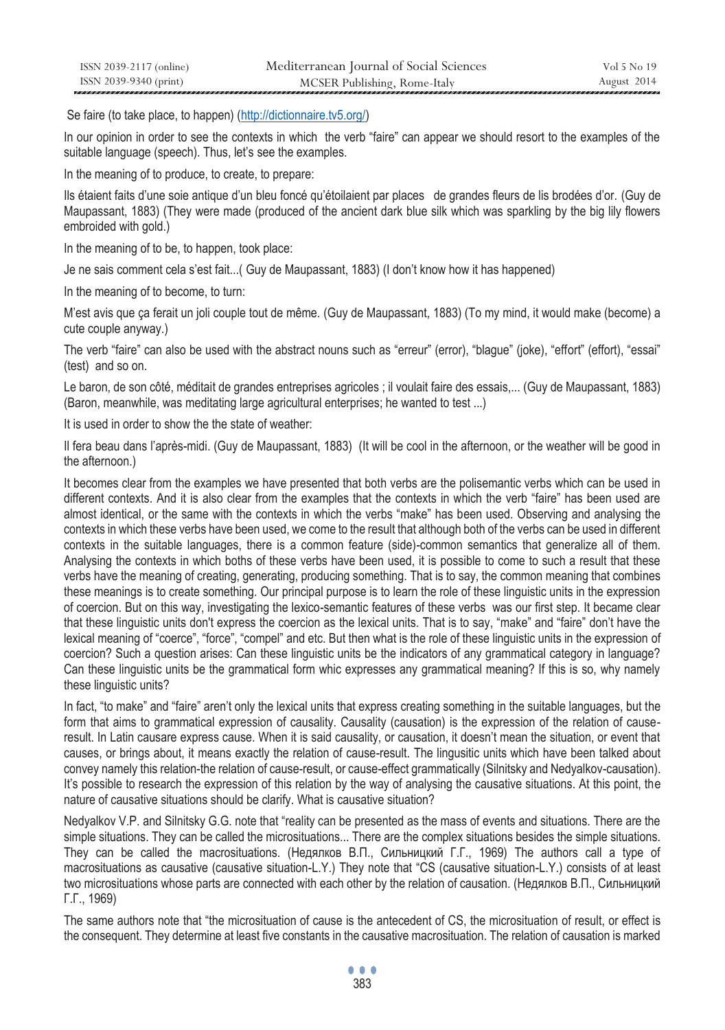| ISSN 2039-2117 (online) | Mediterranean Journal of Social Sciences | Vol 5 No 19 |
|-------------------------|------------------------------------------|-------------|
| ISSN 2039-9340 (print)  | MCSER Publishing, Rome-Italy             | August 2014 |

Se faire (to take place, to happen) (http://dictionnaire.tv5.org/)

In our opinion in order to see the contexts in which the verb "faire" can appear we should resort to the examples of the suitable language (speech). Thus, let's see the examples.

In the meaning of to produce, to create, to prepare:

Ils étaient faits d'une soie antique d'un bleu foncé qu'étoilaient par places de grandes fleurs de lis brodées d'or. (Guy de Maupassant, 1883) (They were made (produced of the ancient dark blue silk which was sparkling by the big lily flowers embroided with gold.)

In the meaning of to be, to happen, took place:

Je ne sais comment cela s'est fait...( Guy de Maupassant, 1883) (I don't know how it has happened)

In the meaning of to become, to turn:

M'est avis que ça ferait un joli couple tout de même. (Guy de Maupassant, 1883) (To my mind, it would make (become) a cute couple anyway.)

The verb "faire" can also be used with the abstract nouns such as "erreur" (error), "blague" (joke), "effort" (effort), "essai" (test) and so on.

Le baron, de son côté, méditait de grandes entreprises agricoles ; il voulait faire des essais,... (Guy de Maupassant, 1883) (Baron, meanwhile, was meditating large agricultural enterprises; he wanted to test ...)

It is used in order to show the the state of weather:

Il fera beau dans l'après-midi. (Guy de Maupassant, 1883) (It will be cool in the afternoon, or the weather will be good in the afternoon.)

It becomes clear from the examples we have presented that both verbs are the polisemantic verbs which can be used in different contexts. And it is also clear from the examples that the contexts in which the verb "faire" has been used are almost identical, or the same with the contexts in which the verbs "make" has been used. Observing and analysing the contexts in which these verbs have been used, we come to the result that although both of the verbs can be used in different contexts in the suitable languages, there is a common feature (side)-common semantics that generalize all of them. Analysing the contexts in which boths of these verbs have been used, it is possible to come to such a result that these verbs have the meaning of creating, generating, producing something. That is to say, the common meaning that combines these meanings is to create something. Our principal purpose is to learn the role of these linguistic units in the expression of coercion. But on this way, investigating the lexico-semantic features of these verbs was our first step. It became clear that these linguistic units don't express the coercion as the lexical units. That is to say, "make" and "faire" don't have the lexical meaning of "coerce", "force", "compel" and etc. But then what is the role of these linguistic units in the expression of coercion? Such a question arises: Can these linguistic units be the indicators of any grammatical category in language? Can these linguistic units be the grammatical form whic expresses any grammatical meaning? If this is so, why namely these linguistic units?

In fact, "to make" and "faire" aren't only the lexical units that express creating something in the suitable languages, but the form that aims to grammatical expression of causality. Causality (causation) is the expression of the relation of causeresult. In Latin causare express cause. When it is said causality, or causation, it doesn't mean the situation, or event that causes, or brings about, it means exactly the relation of cause-result. The lingusitic units which have been talked about convey namely this relation-the relation of cause-result, or cause-effect grammatically (Silnitsky and Nedyalkov-causation). It's possible to research the expression of this relation by the way of analysing the causative situations. At this point, the nature of causative situations should be clarify. What is causative situation?

Nedyalkov V.P. and Silnitsky G.G. note that "reality can be presented as the mass of events and situations. There are the simple situations. They can be called the microsituations... There are the complex situations besides the simple situations. They can be called the macrosituations. (Недялков В.П., Сильницкий Г.Г., 1969) The authors call a type of macrosituations as causative (causative situation-L.Y.) They note that "CS (causative situation-L.Y.) consists of at least two microsituations whose parts are connected with each other by the relation of causation. (Недялков В.П., Сильницкий Г.Г., 1969)

The same authors note that "the microsituation of cause is the antecedent of CS, the microsituation of result, or effect is the consequent. They determine at least five constants in the causative macrosituation. The relation of causation is marked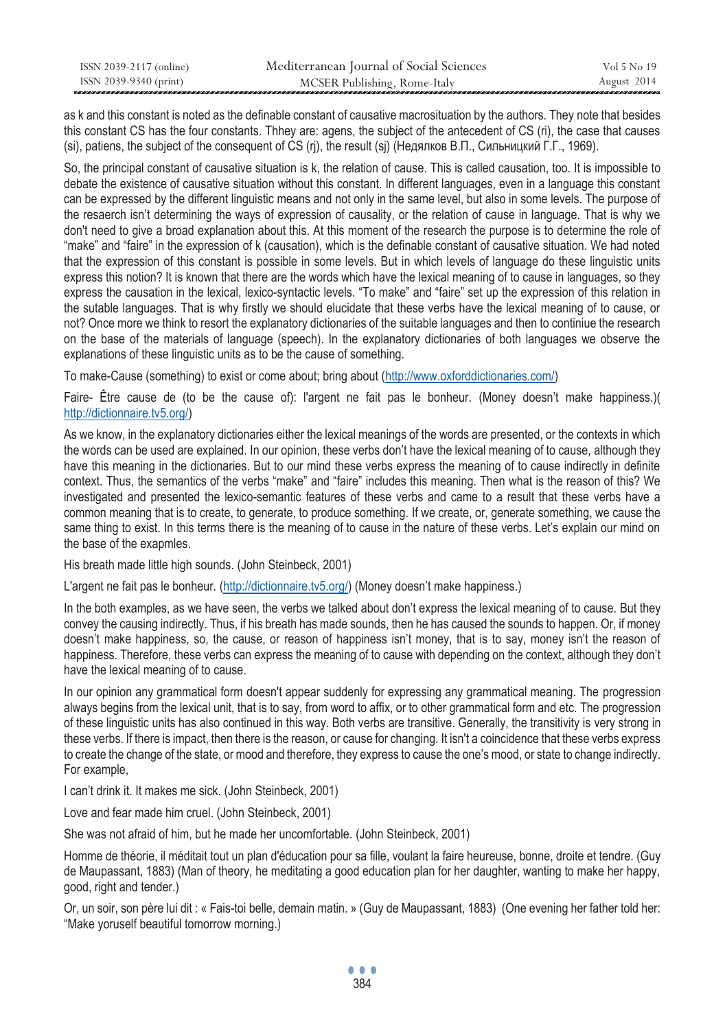| ISSN 2039-2117 (online) | Mediterranean Journal of Social Sciences | Vol 5 No 19 |
|-------------------------|------------------------------------------|-------------|
| ISSN 2039-9340 (print)  | MCSER Publishing, Rome-Italy             | August 2014 |

as k and this constant is noted as the definable constant of causative macrosituation by the authors. They note that besides this constant CS has the four constants. Thhey are: agens, the subject of the antecedent of CS (ri), the case that causes (si), patiens, the subject of the consequent of CS (rj), the result (sj) (Недялков В.П., Сильницкий Г.Г., 1969).

So, the principal constant of causative situation is k, the relation of cause. This is called causation, too. It is impossible to debate the existence of causative situation without this constant. In different languages, even in a language this constant can be expressed by the different linguistic means and not only in the same level, but also in some levels. The purpose of the resaerch isn't determining the ways of expression of causality, or the relation of cause in language. That is why we don't need to give a broad explanation about this. At this moment of the research the purpose is to determine the role of "make" and "faire" in the expression of k (causation), which is the definable constant of causative situation. We had noted that the expression of this constant is possible in some levels. But in which levels of language do these linguistic units express this notion? It is known that there are the words which have the lexical meaning of to cause in languages, so they express the causation in the lexical, lexico-syntactic levels. "To make" and "faire" set up the expression of this relation in the sutable languages. That is why firstly we should elucidate that these verbs have the lexical meaning of to cause, or not? Once more we think to resort the explanatory dictionaries of the suitable languages and then to continiue the research on the base of the materials of language (speech). In the explanatory dictionaries of both languages we observe the explanations of these linguistic units as to be the cause of something.

To make-Cause (something) to exist or come about; bring about (http://www.oxforddictionaries.com/)

Faire- Être cause de (to be the cause of): l'argent ne fait pas le bonheur. (Money doesn't make happiness.)( http://dictionnaire.tv5.org/)

As we know, in the explanatory dictionaries either the lexical meanings of the words are presented, or the contexts in which the words can be used are explained. In our opinion, these verbs don't have the lexical meaning of to cause, although they have this meaning in the dictionaries. But to our mind these verbs express the meaning of to cause indirectly in definite context. Thus, the semantics of the verbs "make" and "faire" includes this meaning. Then what is the reason of this? We investigated and presented the lexico-semantic features of these verbs and came to a result that these verbs have a common meaning that is to create, to generate, to produce something. If we create, or, generate something, we cause the same thing to exist. In this terms there is the meaning of to cause in the nature of these verbs. Let's explain our mind on the base of the exapmles.

His breath made little high sounds. (John Steinbeck, 2001)

L'argent ne fait pas le bonheur. (http://dictionnaire.tv5.org/) (Money doesn't make happiness.)

In the both examples, as we have seen, the verbs we talked about don't express the lexical meaning of to cause. But they convey the causing indirectly. Thus, if his breath has made sounds, then he has caused the sounds to happen. Or, if money doesn't make happiness, so, the cause, or reason of happiness isn't money, that is to say, money isn't the reason of happiness. Therefore, these verbs can express the meaning of to cause with depending on the context, although they don't have the lexical meaning of to cause.

In our opinion any grammatical form doesn't appear suddenly for expressing any grammatical meaning. The progression always begins from the lexical unit, that is to say, from word to affix, or to other grammatical form and etc. The progression of these linguistic units has also continued in this way. Both verbs are transitive. Generally, the transitivity is very strong in these verbs. If there is impact, then there is the reason, or cause for changing. It isn't a coincidence that these verbs express to create the change of the state, or mood and therefore, they express to cause the one's mood, or state to change indirectly. For example,

I can't drink it. It makes me sick. (John Steinbeck, 2001)

Love and fear made him cruel. (John Steinbeck, 2001)

She was not afraid of him, but he made her uncomfortable. (John Steinbeck, 2001)

Homme de théorie, il méditait tout un plan d'éducation pour sa fille, voulant la faire heureuse, bonne, droite et tendre. (Guy de Maupassant, 1883) (Man of theory, he meditating a good education plan for her daughter, wanting to make her happy, good, right and tender.)

Or, un soir, son père lui dit : « Fais-toi belle, demain matin. » (Guy de Maupassant, 1883) (One evening her father told her: "Make yoruself beautiful tomorrow morning.)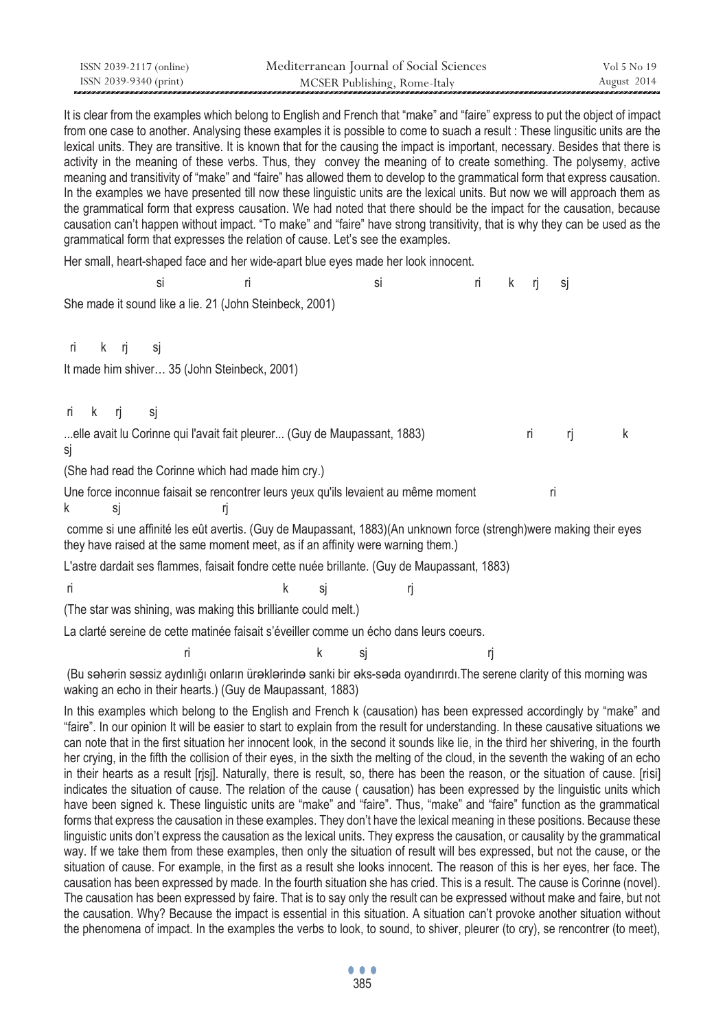| ISSN 2039-2117 (online) | Mediterranean Journal of Social Sciences | Vol 5 No 19 |
|-------------------------|------------------------------------------|-------------|
| ISSN 2039-9340 (print)  | MCSER Publishing, Rome-Italy             | August 2014 |

It is clear from the examples which belong to English and French that "make" and "faire" express to put the object of impact from one case to another. Analysing these examples it is possible to come to suach a result : These lingusitic units are the lexical units. They are transitive. It is known that for the causing the impact is important, necessary. Besides that there is activity in the meaning of these verbs. Thus, they convey the meaning of to create something. The polysemy, active meaning and transitivity of "make" and "faire" has allowed them to develop to the grammatical form that express causation. In the examples we have presented till now these linguistic units are the lexical units. But now we will approach them as the grammatical form that express causation. We had noted that there should be the impact for the causation, because causation can't happen without impact. "To make" and "faire" have strong transitivity, that is why they can be used as the grammatical form that expresses the relation of cause. Let's see the examples.

Her small, heart-shaped face and her wide-apart blue eyes made her look innocent.

 si ri si ri k rj sj She made it sound like a lie. 21 (John Steinbeck, 2001) ri k ri si It made him shiver… 35 (John Steinbeck, 2001) ri k rj sj ...elle avait lu Corinne qui l'avait fait pleurer... (Guy de Maupassant, 1883) ri ri ri ri ri k si (She had read the Corinne which had made him cry.) Une force inconnue faisait se rencontrer leurs yeux qu'ils levaient au même moment ri k sj rj comme si une affinité les eût avertis. (Guy de Maupassant, 1883)(An unknown force (strengh)were making their eyes they have raised at the same moment meet, as if an affinity were warning them.) L'astre dardait ses flammes, faisait fondre cette nuée brillante. (Guy de Maupassant, 1883) ri k sj rj

(The star was shining, was making this brilliante could melt.)

La clarté sereine de cette matinée faisait s'éveiller comme un écho dans leurs coeurs. ri k sjet rj

 (Bu səhərin səssiz aydınlığı onların ürəklərində sanki bir əks-səda oyandırırdı.The serene clarity of this morning was waking an echo in their hearts.) (Guy de Maupassant, 1883)

In this examples which belong to the English and French k (causation) has been expressed accordingly by "make" and "faire". In our opinion It will be easier to start to explain from the result for understanding. In these causative situations we can note that in the first situation her innocent look, in the second it sounds like lie, in the third her shivering, in the fourth her crying, in the fifth the collision of their eyes, in the sixth the melting of the cloud, in the seventh the waking of an echo in their hearts as a result [rjsj]. Naturally, there is result, so, there has been the reason, or the situation of cause. [risi] indicates the situation of cause. The relation of the cause ( causation) has been expressed by the linguistic units which have been signed k. These linguistic units are "make" and "faire". Thus, "make" and "faire" function as the grammatical forms that express the causation in these examples. They don't have the lexical meaning in these positions. Because these linguistic units don't express the causation as the lexical units. They express the causation, or causality by the grammatical way. If we take them from these examples, then only the situation of result will bes expressed, but not the cause, or the situation of cause. For example, in the first as a result she looks innocent. The reason of this is her eyes, her face. The causation has been expressed by made. In the fourth situation she has cried. This is a result. The cause is Corinne (novel). The causation has been expressed by faire. That is to say only the result can be expressed without make and faire, but not the causation. Why? Because the impact is essential in this situation. A situation can't provoke another situation without the phenomena of impact. In the examples the verbs to look, to sound, to shiver, pleurer (to cry), se rencontrer (to meet),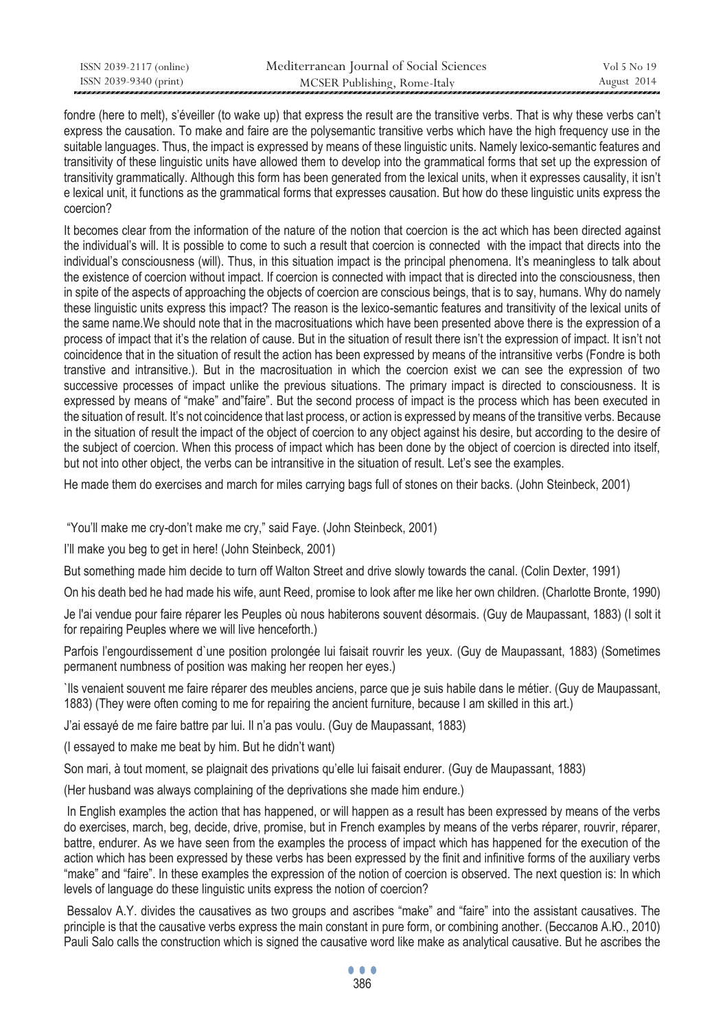| ISSN 2039-2117 (online) | Mediterranean Journal of Social Sciences | Vol 5 No 19 |
|-------------------------|------------------------------------------|-------------|
| ISSN 2039-9340 (print)  | MCSER Publishing, Rome-Italy             | August 2014 |

fondre (here to melt), s'éveiller (to wake up) that express the result are the transitive verbs. That is why these verbs can't express the causation. To make and faire are the polysemantic transitive verbs which have the high frequency use in the suitable languages. Thus, the impact is expressed by means of these linguistic units. Namely lexico-semantic features and transitivity of these linguistic units have allowed them to develop into the grammatical forms that set up the expression of transitivity grammatically. Although this form has been generated from the lexical units, when it expresses causality, it isn't e lexical unit, it functions as the grammatical forms that expresses causation. But how do these linguistic units express the coercion?

It becomes clear from the information of the nature of the notion that coercion is the act which has been directed against the individual's will. It is possible to come to such a result that coercion is connected with the impact that directs into the individual's consciousness (will). Thus, in this situation impact is the principal phenomena. It's meaningless to talk about the existence of coercion without impact. If coercion is connected with impact that is directed into the consciousness, then in spite of the aspects of approaching the objects of coercion are conscious beings, that is to say, humans. Why do namely these linguistic units express this impact? The reason is the lexico-semantic features and transitivity of the lexical units of the same name.We should note that in the macrosituations which have been presented above there is the expression of a process of impact that it's the relation of cause. But in the situation of result there isn't the expression of impact. It isn't not coincidence that in the situation of result the action has been expressed by means of the intransitive verbs (Fondre is both transtive and intransitive.). But in the macrosituation in which the coercion exist we can see the expression of two successive processes of impact unlike the previous situations. The primary impact is directed to consciousness. It is expressed by means of "make" and"faire". But the second process of impact is the process which has been executed in the situation of result. It's not coincidence that last process, or action is expressed by means of the transitive verbs. Because in the situation of result the impact of the object of coercion to any object against his desire, but according to the desire of the subject of coercion. When this process of impact which has been done by the object of coercion is directed into itself, but not into other object, the verbs can be intransitive in the situation of result. Let's see the examples.

He made them do exercises and march for miles carrying bags full of stones on their backs. (John Steinbeck, 2001)

"You'll make me cry-don't make me cry," said Faye. (John Steinbeck, 2001)

I'll make you beg to get in here! (John Steinbeck, 2001)

But something made him decide to turn off Walton Street and drive slowly towards the canal. (Colin Dexter, 1991)

On his death bed he had made his wife, aunt Reed, promise to look after me like her own children. (Charlotte Bronte, 1990)

Je l'ai vendue pour faire réparer les Peuples où nous habiterons souvent désormais. (Guy de Maupassant, 1883) (I solt it for repairing Peuples where we will live henceforth.)

Parfois l'engourdissement d`une position prolongée lui faisait rouvrir les yeux. (Guy de Maupassant, 1883) (Sometimes permanent numbness of position was making her reopen her eyes.)

`Ils venaient souvent me faire réparer des meubles anciens, parce que je suis habile dans le métier. (Guy de Maupassant, 1883) (They were often coming to me for repairing the ancient furniture, because I am skilled in this art.)

J'ai essayé de me faire battre par lui. Il n'a pas voulu. (Guy de Maupassant, 1883)

(I essayed to make me beat by him. But he didn't want)

Son mari, à tout moment, se plaignait des privations qu'elle lui faisait endurer. (Guy de Maupassant, 1883)

(Her husband was always complaining of the deprivations she made him endure.)

 In English examples the action that has happened, or will happen as a result has been expressed by means of the verbs do exercises, march, beg, decide, drive, promise, but in French examples by means of the verbs réparer, rouvrir, réparer, battre, endurer. As we have seen from the examples the process of impact which has happened for the execution of the action which has been expressed by these verbs has been expressed by the finit and infinitive forms of the auxiliary verbs "make" and "faire". In these examples the expression of the notion of coercion is observed. The next question is: In which levels of language do these linguistic units express the notion of coercion?

 Bessalov A.Y. divides the causatives as two groups and ascribes "make" and "faire" into the assistant causatives. The principle is that the causative verbs express the main constant in pure form, or combining another. (Бессалов А.Ю., 2010) Pauli Salo calls the construction which is signed the causative word like make as analytical causative. But he ascribes the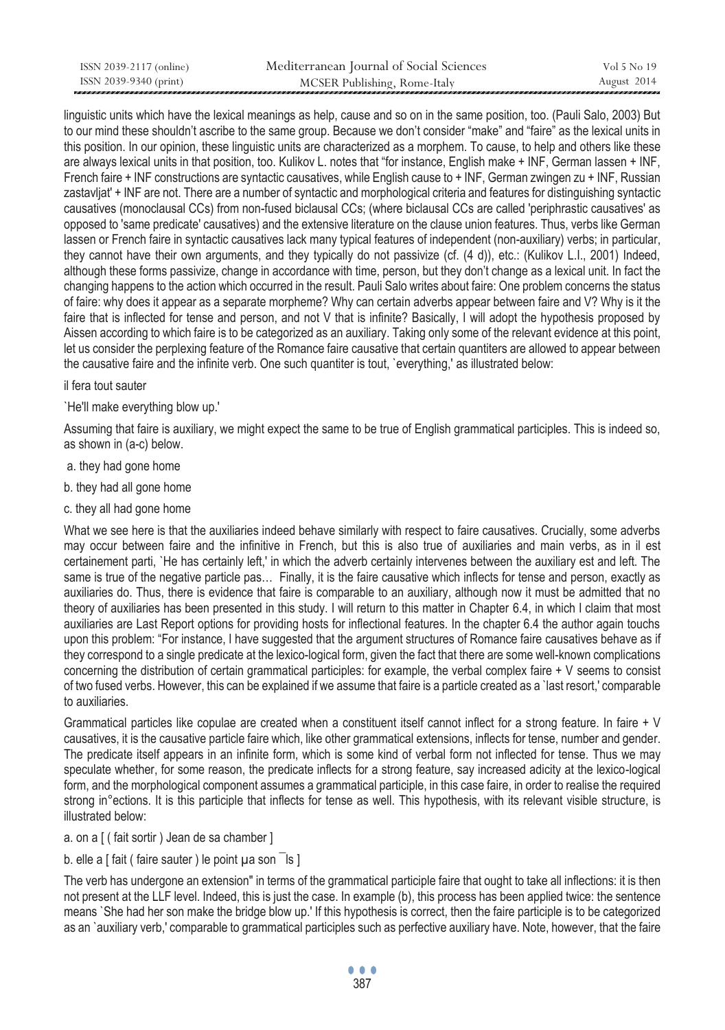| ISSN 2039-2117 (online) | Mediterranean Journal of Social Sciences | Vol 5 No 19 |
|-------------------------|------------------------------------------|-------------|
| ISSN 2039-9340 (print)  | MCSER Publishing, Rome-Italy             | August 2014 |

linguistic units which have the lexical meanings as help, cause and so on in the same position, too. (Pauli Salo, 2003) But to our mind these shouldn't ascribe to the same group. Because we don't consider "make" and "faire" as the lexical units in this position. In our opinion, these linguistic units are characterized as a morphem. To cause, to help and others like these are always lexical units in that position, too. Kulikov L. notes that "for instance, English make + INF, German lassen + INF, French faire + INF constructions are syntactic causatives, while English cause to + INF, German zwingen zu + INF, Russian zastavljat' + INF are not. There are a number of syntactic and morphological criteria and features for distinguishing syntactic causatives (monoclausal CCs) from non-fused biclausal CCs; (where biclausal CCs are called 'periphrastic causatives' as opposed to 'same predicate' causatives) and the extensive literature on the clause union features. Thus, verbs like German lassen or French faire in syntactic causatives lack many typical features of independent (non-auxiliary) verbs; in particular, they cannot have their own arguments, and they typically do not passivize (cf. (4 d)), etc.: (Kulikov L.I., 2001) Indeed, although these forms passivize, change in accordance with time, person, but they don't change as a lexical unit. In fact the changing happens to the action which occurred in the result. Pauli Salo writes about faire: One problem concerns the status of faire: why does it appear as a separate morpheme? Why can certain adverbs appear between faire and V? Why is it the faire that is inflected for tense and person, and not V that is infinite? Basically, I will adopt the hypothesis proposed by Aissen according to which faire is to be categorized as an auxiliary. Taking only some of the relevant evidence at this point, let us consider the perplexing feature of the Romance faire causative that certain quantiters are allowed to appear between the causative faire and the infinite verb. One such quantiter is tout, `everything,' as illustrated below:

il fera tout sauter

`He'll make everything blow up.'

Assuming that faire is auxiliary, we might expect the same to be true of English grammatical participles. This is indeed so, as shown in (a-c) below.

- a. they had gone home
- b. they had all gone home
- c. they all had gone home

What we see here is that the auxiliaries indeed behave similarly with respect to faire causatives. Crucially, some adverbs may occur between faire and the infinitive in French, but this is also true of auxiliaries and main verbs, as in il est certainement parti, `He has certainly left,' in which the adverb certainly intervenes between the auxiliary est and left. The same is true of the negative particle pas… Finally, it is the faire causative which inflects for tense and person, exactly as auxiliaries do. Thus, there is evidence that faire is comparable to an auxiliary, although now it must be admitted that no theory of auxiliaries has been presented in this study. I will return to this matter in Chapter 6.4, in which I claim that most auxiliaries are Last Report options for providing hosts for inflectional features. In the chapter 6.4 the author again touchs upon this problem: "For instance, I have suggested that the argument structures of Romance faire causatives behave as if they correspond to a single predicate at the lexico-logical form, given the fact that there are some well-known complications concerning the distribution of certain grammatical participles: for example, the verbal complex faire + V seems to consist of two fused verbs. However, this can be explained if we assume that faire is a particle created as a `last resort,' comparable to auxiliaries.

Grammatical particles like copulae are created when a constituent itself cannot inflect for a strong feature. In faire + V causatives, it is the causative particle faire which, like other grammatical extensions, inflects for tense, number and gender. The predicate itself appears in an infinite form, which is some kind of verbal form not inflected for tense. Thus we may speculate whether, for some reason, the predicate inflects for a strong feature, say increased adicity at the lexico-logical form, and the morphological component assumes a grammatical participle, in this case faire, in order to realise the required strong in°ections. It is this participle that inflects for tense as well. This hypothesis, with its relevant visible structure, is illustrated below:

a. on a [ ( fait sortir ) Jean de sa chamber ]

# b. elle a [ fait ( faire sauter ) le point μa son ls ]

The verb has undergone an extension" in terms of the grammatical participle faire that ought to take all inflections: it is then not present at the LLF level. Indeed, this is just the case. In example (b), this process has been applied twice: the sentence means `She had her son make the bridge blow up.' If this hypothesis is correct, then the faire participle is to be categorized as an `auxiliary verb,' comparable to grammatical participles such as perfective auxiliary have. Note, however, that the faire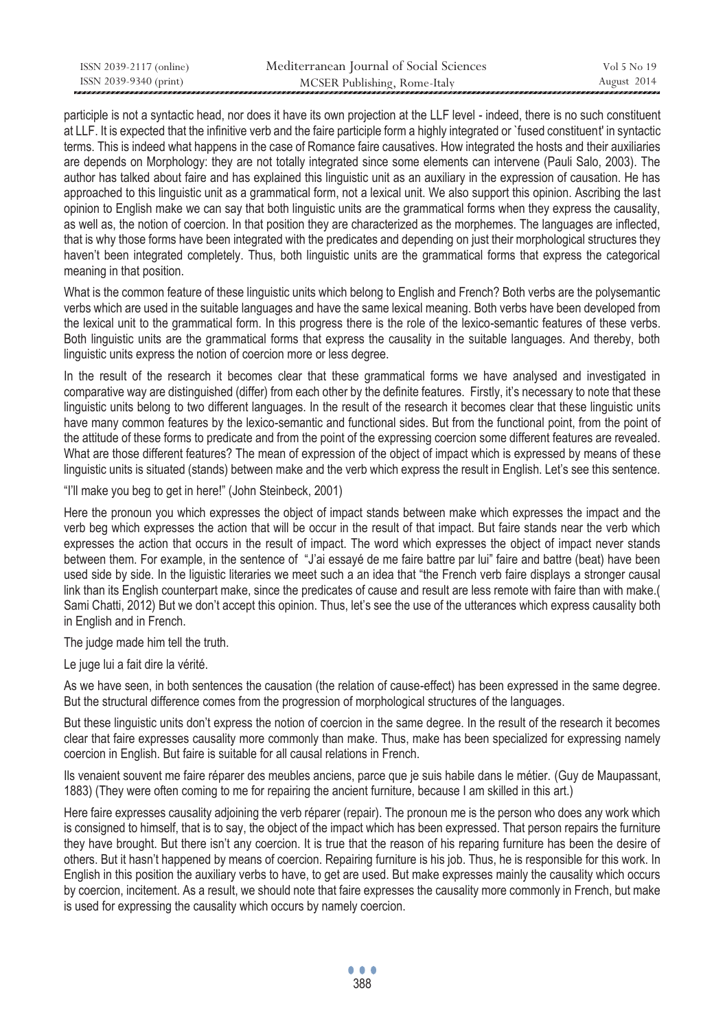| ISSN 2039-2117 (online) | Mediterranean Journal of Social Sciences | Vol 5 No 19 |
|-------------------------|------------------------------------------|-------------|
| ISSN 2039-9340 (print)  | MCSER Publishing, Rome-Italy             | August 2014 |

participle is not a syntactic head, nor does it have its own projection at the LLF level - indeed, there is no such constituent at LLF. It is expected that the infinitive verb and the faire participle form a highly integrated or `fused constituent' in syntactic terms. This is indeed what happens in the case of Romance faire causatives. How integrated the hosts and their auxiliaries are depends on Morphology: they are not totally integrated since some elements can intervene (Pauli Salo, 2003). The author has talked about faire and has explained this linguistic unit as an auxiliary in the expression of causation. He has approached to this linguistic unit as a grammatical form, not a lexical unit. We also support this opinion. Ascribing the last opinion to English make we can say that both linguistic units are the grammatical forms when they express the causality, as well as, the notion of coercion. In that position they are characterized as the morphemes. The languages are inflected, that is why those forms have been integrated with the predicates and depending on just their morphological structures they haven't been integrated completely. Thus, both linguistic units are the grammatical forms that express the categorical meaning in that position.

What is the common feature of these linguistic units which belong to English and French? Both verbs are the polysemantic verbs which are used in the suitable languages and have the same lexical meaning. Both verbs have been developed from the lexical unit to the grammatical form. In this progress there is the role of the lexico-semantic features of these verbs. Both linguistic units are the grammatical forms that express the causality in the suitable languages. And thereby, both linguistic units express the notion of coercion more or less degree.

In the result of the research it becomes clear that these grammatical forms we have analysed and investigated in comparative way are distinguished (differ) from each other by the definite features. Firstly, it's necessary to note that these linguistic units belong to two different languages. In the result of the research it becomes clear that these linguistic units have many common features by the lexico-semantic and functional sides. But from the functional point, from the point of the attitude of these forms to predicate and from the point of the expressing coercion some different features are revealed. What are those different features? The mean of expression of the object of impact which is expressed by means of these linguistic units is situated (stands) between make and the verb which express the result in English. Let's see this sentence.

"I'll make you beg to get in here!" (John Steinbeck, 2001)

Here the pronoun you which expresses the object of impact stands between make which expresses the impact and the verb beg which expresses the action that will be occur in the result of that impact. But faire stands near the verb which expresses the action that occurs in the result of impact. The word which expresses the object of impact never stands between them. For example, in the sentence of "J'ai essayé de me faire battre par lui" faire and battre (beat) have been used side by side. In the liguistic literaries we meet such a an idea that "the French verb faire displays a stronger causal link than its English counterpart make, since the predicates of cause and result are less remote with faire than with make. Sami Chatti, 2012) But we don't accept this opinion. Thus, let's see the use of the utterances which express causality both in English and in French.

The judge made him tell the truth.

Le juge lui a fait dire la vérité.

As we have seen, in both sentences the causation (the relation of cause-effect) has been expressed in the same degree. But the structural difference comes from the progression of morphological structures of the languages.

But these linguistic units don't express the notion of coercion in the same degree. In the result of the research it becomes clear that faire expresses causality more commonly than make. Thus, make has been specialized for expressing namely coercion in English. But faire is suitable for all causal relations in French.

Ils venaient souvent me faire réparer des meubles anciens, parce que je suis habile dans le métier. (Guy de Maupassant, 1883) (They were often coming to me for repairing the ancient furniture, because I am skilled in this art.)

Here faire expresses causality adjoining the verb réparer (repair). The pronoun me is the person who does any work which is consigned to himself, that is to say, the object of the impact which has been expressed. That person repairs the furniture they have brought. But there isn't any coercion. It is true that the reason of his reparing furniture has been the desire of others. But it hasn't happened by means of coercion. Repairing furniture is his job. Thus, he is responsible for this work. In English in this position the auxiliary verbs to have, to get are used. But make expresses mainly the causality which occurs by coercion, incitement. As a result, we should note that faire expresses the causality more commonly in French, but make is used for expressing the causality which occurs by namely coercion.